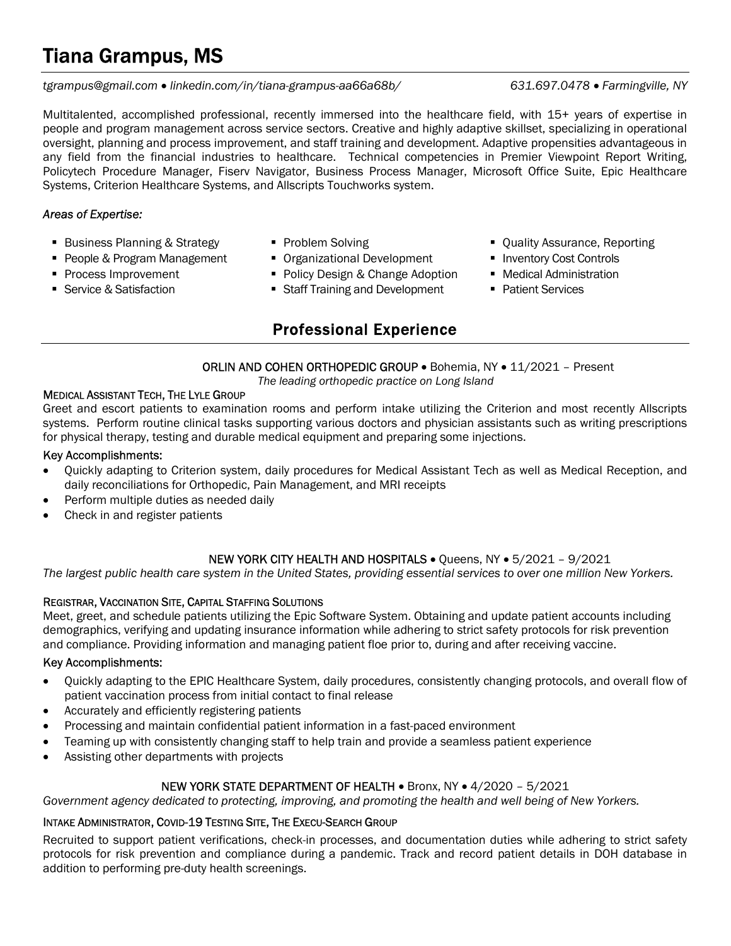# Tiana Grampus, MS

#### tgrampus@gmail.com linkedin.com/in/tiana-grampus-aa66a68b/ 631.697.0478 Farmingville, NY

Multitalented, accomplished professional, recently immersed into the healthcare field, with 15+ years of expertise in people and program management across service sectors. Creative and highly adaptive skillset, specializing in operational oversight, planning and process improvement, and staff training and development. Adaptive propensities advantageous in any field from the financial industries to healthcare. Technical competencies in Premier Viewpoint Report Writing, Policytech Procedure Manager, Fiserv Navigator, Business Process Manager, Microsoft Office Suite, Epic Healthcare Systems, Criterion Healthcare Systems, and Allscripts Touchworks system.

### Areas of Expertise:

- Business Planning & Strategy 
 Problem Solving 
<br>■ Quality Assurance, Reporting
- People & Program Management Organizational Development Inventory Cost Controls
- **Process Improvement**
- **Service & Satisfaction**
- 
- 
- Policy Design & Change Adoption
- **Staff Training and Development**

# Professional Experience

- 
- **Medical Administration**
- Patient Services
- ORLIN AND COHEN ORTHOPEDIC GROUP . Bohemia, NY . 11/2021 Present

The leading orthopedic practice on Long Island

#### MEDICAL ASSISTANT TECH, THE LYLE GROUP

Greet and escort patients to examination rooms and perform intake utilizing the Criterion and most recently Allscripts systems. Perform routine clinical tasks supporting various doctors and physician assistants such as writing prescriptions for physical therapy, testing and durable medical equipment and preparing some injections.

#### Key Accomplishments:

- Quickly adapting to Criterion system, daily procedures for Medical Assistant Tech as well as Medical Reception, and daily reconciliations for Orthopedic, Pain Management, and MRI receipts
- Perform multiple duties as needed daily
- Check in and register patients

### NEW YORK CITY HEALTH AND HOSPITALS . Queens, NY . 5/2021 - 9/2021

The largest public health care system in the United States, providing essential services to over one million New Yorkers.

#### REGISTRAR, VACCINATION SITE, CAPITAL STAFFING SOLUTIONS

Meet, greet, and schedule patients utilizing the Epic Software System. Obtaining and update patient accounts including demographics, verifying and updating insurance information while adhering to strict safety protocols for risk prevention and compliance. Providing information and managing patient floe prior to, during and after receiving vaccine.

#### Key Accomplishments:

- Quickly adapting to the EPIC Healthcare System, daily procedures, consistently changing protocols, and overall flow of patient vaccination process from initial contact to final release
- Accurately and efficiently registering patients
- Processing and maintain confidential patient information in a fast-paced environment
- Teaming up with consistently changing staff to help train and provide a seamless patient experience
- Assisting other departments with projects

#### NEW YORK STATE DEPARTMENT OF HEALTH . Bronx, NY . 4/2020 - 5/2021

Government agency dedicated to protecting, improving, and promoting the health and well being of New Yorkers.

#### INTAKE ADMINISTRATOR, COVID-19 TESTING SITE, THE EXECU-SEARCH GROUP

Recruited to support patient verifications, check-in processes, and documentation duties while adhering to strict safety protocols for risk prevention and compliance during a pandemic. Track and record patient details in DOH database in addition to performing pre-duty health screenings.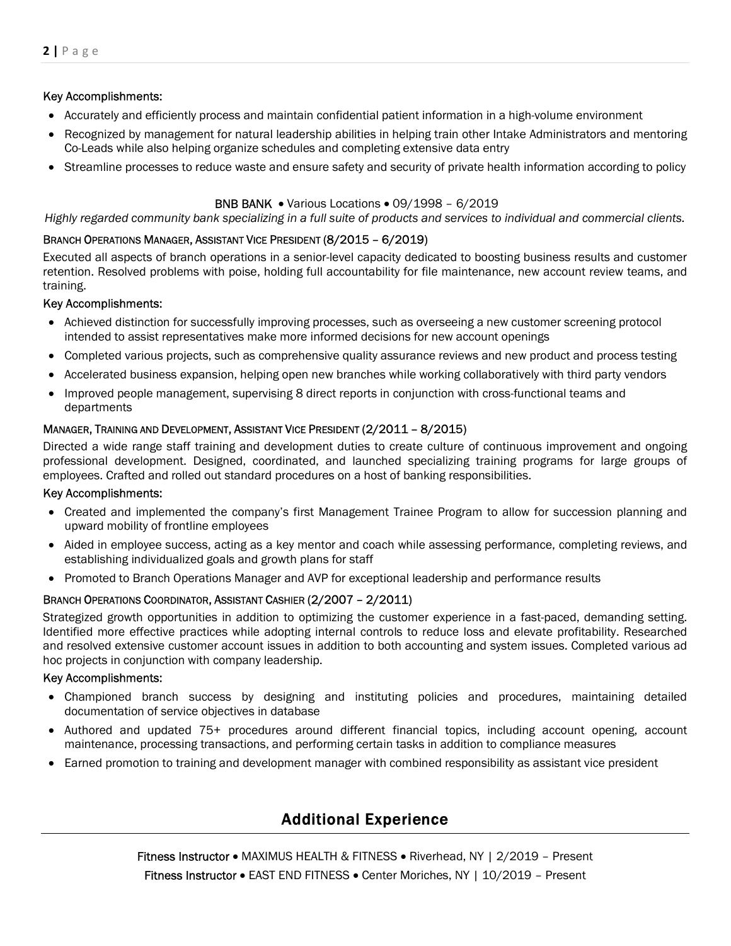#### Key Accomplishments:

- Accurately and efficiently process and maintain confidential patient information in a high-volume environment
- Recognized by management for natural leadership abilities in helping train other Intake Administrators and mentoring Co-Leads while also helping organize schedules and completing extensive data entry
- Streamline processes to reduce waste and ensure safety and security of private health information according to policy

#### BNB BANK • Various Locations • 09/1998 - 6/2019

#### Highly regarded community bank specializing in a full suite of products and services to individual and commercial clients.

#### BRANCH OPERATIONS MANAGER, ASSISTANT VICE PRESIDENT (8/2015 – 6/2019)

Executed all aspects of branch operations in a senior-level capacity dedicated to boosting business results and customer retention. Resolved problems with poise, holding full accountability for file maintenance, new account review teams, and training.

#### Key Accomplishments:

- Achieved distinction for successfully improving processes, such as overseeing a new customer screening protocol intended to assist representatives make more informed decisions for new account openings
- Completed various projects, such as comprehensive quality assurance reviews and new product and process testing
- Accelerated business expansion, helping open new branches while working collaboratively with third party vendors
- Improved people management, supervising 8 direct reports in conjunction with cross-functional teams and departments

#### MANAGER, TRAINING AND DEVELOPMENT, ASSISTANT VICE PRESIDENT (2/2011 – 8/2015)

Directed a wide range staff training and development duties to create culture of continuous improvement and ongoing professional development. Designed, coordinated, and launched specializing training programs for large groups of employees. Crafted and rolled out standard procedures on a host of banking responsibilities.

#### Key Accomplishments:

- Created and implemented the company's first Management Trainee Program to allow for succession planning and upward mobility of frontline employees
- Aided in employee success, acting as a key mentor and coach while assessing performance, completing reviews, and establishing individualized goals and growth plans for staff
- Promoted to Branch Operations Manager and AVP for exceptional leadership and performance results

#### BRANCH OPERATIONS COORDINATOR, ASSISTANT CASHIER (2/2007 – 2/2011)

Strategized growth opportunities in addition to optimizing the customer experience in a fast-paced, demanding setting. Identified more effective practices while adopting internal controls to reduce loss and elevate profitability. Researched and resolved extensive customer account issues in addition to both accounting and system issues. Completed various ad hoc projects in conjunction with company leadership.

#### Key Accomplishments:

- Championed branch success by designing and instituting policies and procedures, maintaining detailed documentation of service objectives in database
- Authored and updated 75+ procedures around different financial topics, including account opening, account maintenance, processing transactions, and performing certain tasks in addition to compliance measures
- Earned promotion to training and development manager with combined responsibility as assistant vice president

## Additional Experience

**Fitness Instructor •** MAXIMUS HEALTH & FITNESS • Riverhead, NY | 2/2019 - Present Fitness Instructor EAST END FITNESS Center Moriches, NY | 10/2019 – Present